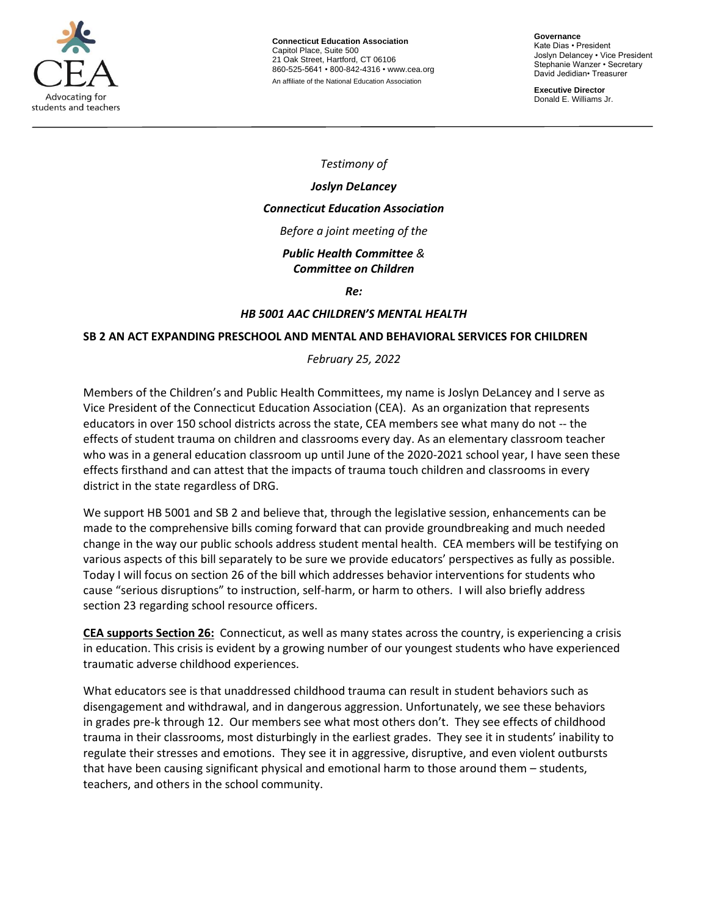

**Connecticut Education Association** Capitol Place, Suite 500 21 Oak Street, Hartford, CT 06106 860-525-5641 • 800-842-4316 • [www.cea.org](http://www.cea.org/) An affiliate of the National Education Association

**Governance** Kate Dias • President Joslyn Delancey • Vice President Stephanie Wanzer • Secretary David Jedidian• Treasurer

**Executive Director**  Donald E. Williams Jr.

*Testimony of*

# *Joslyn DeLancey*

## *Connecticut Education Association*

*Before a joint meeting of the* 

#### *Public Health Committee & Committee on Children*

*Re:*

## *HB 5001 AAC CHILDREN'S MENTAL HEALTH*

#### **SB 2 AN ACT EXPANDING PRESCHOOL AND MENTAL AND BEHAVIORAL SERVICES FOR CHILDREN**

## *February 25, 2022*

Members of the Children's and Public Health Committees, my name is Joslyn DeLancey and I serve as Vice President of the Connecticut Education Association (CEA). As an organization that represents educators in over 150 school districts across the state, CEA members see what many do not -- the effects of student trauma on children and classrooms every day. As an elementary classroom teacher who was in a general education classroom up until June of the 2020-2021 school year, I have seen these effects firsthand and can attest that the impacts of trauma touch children and classrooms in every district in the state regardless of DRG.

We support HB 5001 and SB 2 and believe that, through the legislative session, enhancements can be made to the comprehensive bills coming forward that can provide groundbreaking and much needed change in the way our public schools address student mental health. CEA members will be testifying on various aspects of this bill separately to be sure we provide educators' perspectives as fully as possible. Today I will focus on section 26 of the bill which addresses behavior interventions for students who cause "serious disruptions" to instruction, self-harm, or harm to others. I will also briefly address section 23 regarding school resource officers.

**CEA supports Section 26:** Connecticut, as well as many states across the country, is experiencing a crisis in education. This crisis is evident by a growing number of our youngest students who have experienced traumatic adverse childhood experiences.

What educators see is that unaddressed childhood trauma can result in student behaviors such as disengagement and withdrawal, and in dangerous aggression. Unfortunately, we see these behaviors in grades pre-k through 12. Our members see what most others don't. They see effects of childhood trauma in their classrooms, most disturbingly in the earliest grades. They see it in students' inability to regulate their stresses and emotions. They see it in aggressive, disruptive, and even violent outbursts that have been causing significant physical and emotional harm to those around them – students, teachers, and others in the school community.